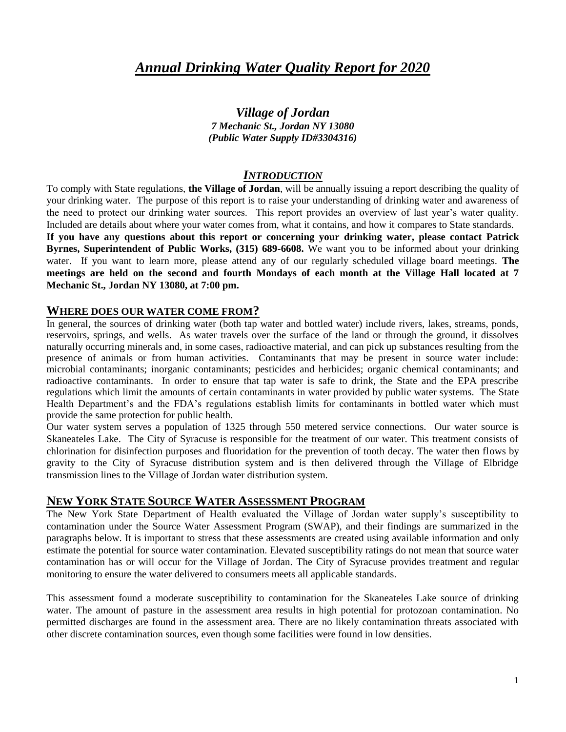# *Annual Drinking Water Quality Report for 2020*

*Village of Jordan 7 Mechanic St., Jordan NY 13080 (Public Water Supply ID#3304316)*

#### *INTRODUCTION*

To comply with State regulations, **the Village of Jordan**, will be annually issuing a report describing the quality of your drinking water. The purpose of this report is to raise your understanding of drinking water and awareness of the need to protect our drinking water sources. This report provides an overview of last year's water quality. Included are details about where your water comes from, what it contains, and how it compares to State standards. **If you have any questions about this report or concerning your drinking water, please contact Patrick Byrnes, Superintendent of Public Works, (315) 689-6608.** We want you to be informed about your drinking water. If you want to learn more, please attend any of our regularly scheduled village board meetings. **The meetings are held on the second and fourth Mondays of each month at the Village Hall located at 7 Mechanic St., Jordan NY 13080, at 7:00 pm.** 

#### **WHERE DOES OUR WATER COME FROM?**

In general, the sources of drinking water (both tap water and bottled water) include rivers, lakes, streams, ponds, reservoirs, springs, and wells. As water travels over the surface of the land or through the ground, it dissolves naturally occurring minerals and, in some cases, radioactive material, and can pick up substances resulting from the presence of animals or from human activities. Contaminants that may be present in source water include: microbial contaminants; inorganic contaminants; pesticides and herbicides; organic chemical contaminants; and radioactive contaminants. In order to ensure that tap water is safe to drink, the State and the EPA prescribe regulations which limit the amounts of certain contaminants in water provided by public water systems. The State Health Department's and the FDA's regulations establish limits for contaminants in bottled water which must provide the same protection for public health.

Our water system serves a population of 1325 through 550 metered service connections. Our water source is Skaneateles Lake. The City of Syracuse is responsible for the treatment of our water. This treatment consists of chlorination for disinfection purposes and fluoridation for the prevention of tooth decay. The water then flows by gravity to the City of Syracuse distribution system and is then delivered through the Village of Elbridge transmission lines to the Village of Jordan water distribution system.

#### **NEW YORK STATE SOURCE WATER ASSESSMENT PROGRAM**

The New York State Department of Health evaluated the Village of Jordan water supply's susceptibility to contamination under the Source Water Assessment Program (SWAP), and their findings are summarized in the paragraphs below. It is important to stress that these assessments are created using available information and only estimate the potential for source water contamination. Elevated susceptibility ratings do not mean that source water contamination has or will occur for the Village of Jordan. The City of Syracuse provides treatment and regular monitoring to ensure the water delivered to consumers meets all applicable standards.

This assessment found a moderate susceptibility to contamination for the Skaneateles Lake source of drinking water. The amount of pasture in the assessment area results in high potential for protozoan contamination. No permitted discharges are found in the assessment area. There are no likely contamination threats associated with other discrete contamination sources, even though some facilities were found in low densities.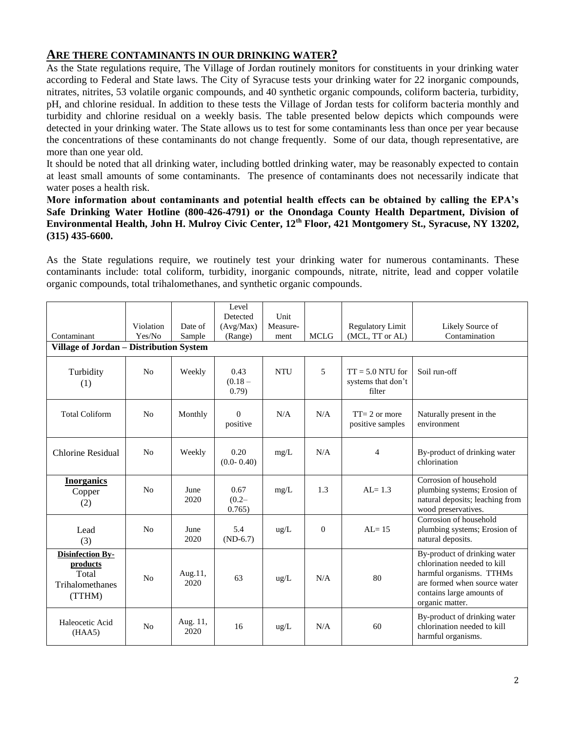#### **ARE THERE CONTAMINANTS IN OUR DRINKING WATER?**

As the State regulations require, The Village of Jordan routinely monitors for constituents in your drinking water according to Federal and State laws. The City of Syracuse tests your drinking water for 22 inorganic compounds, nitrates, nitrites, 53 volatile organic compounds, and 40 synthetic organic compounds, coliform bacteria, turbidity, pH, and chlorine residual. In addition to these tests the Village of Jordan tests for coliform bacteria monthly and turbidity and chlorine residual on a weekly basis. The table presented below depicts which compounds were detected in your drinking water. The State allows us to test for some contaminants less than once per year because the concentrations of these contaminants do not change frequently. Some of our data, though representative, are more than one year old.

It should be noted that all drinking water, including bottled drinking water, may be reasonably expected to contain at least small amounts of some contaminants. The presence of contaminants does not necessarily indicate that water poses a health risk.

#### **More information about contaminants and potential health effects can be obtained by calling the EPA's Safe Drinking Water Hotline (800-426-4791) or the Onondaga County Health Department, Division of Environmental Health, John H. Mulroy Civic Center, 12th Floor, 421 Montgomery St., Syracuse, NY 13202, (315) 435-6600.**

As the State regulations require, we routinely test your drinking water for numerous contaminants. These contaminants include: total coliform, turbidity, inorganic compounds, nitrate, nitrite, lead and copper volatile organic compounds, total trihalomethanes, and synthetic organic compounds.

|                                                                           |                |                  | Level                       |               |                          |                                                      |                                                                                                                                                                         |  |  |  |  |
|---------------------------------------------------------------------------|----------------|------------------|-----------------------------|---------------|--------------------------|------------------------------------------------------|-------------------------------------------------------------------------------------------------------------------------------------------------------------------------|--|--|--|--|
|                                                                           |                |                  | Detected                    | Unit          |                          |                                                      |                                                                                                                                                                         |  |  |  |  |
|                                                                           | Violation      | Date of          | (Avg/Max)                   | Measure-      |                          | <b>Regulatory Limit</b>                              | Likely Source of                                                                                                                                                        |  |  |  |  |
| Contaminant                                                               | Yes/No         | Sample           | (Range)                     | ment          | <b>MCLG</b>              | (MCL, TT or AL)                                      | Contamination                                                                                                                                                           |  |  |  |  |
| Village of Jordan – Distribution System                                   |                |                  |                             |               |                          |                                                      |                                                                                                                                                                         |  |  |  |  |
| Turbidity<br>(1)                                                          | No             | Weekly           | 0.43<br>$(0.18 -$<br>(0.79) | <b>NTU</b>    | $\overline{\phantom{0}}$ | $TT = 5.0 N T U$ for<br>systems that don't<br>filter | Soil run-off                                                                                                                                                            |  |  |  |  |
| <b>Total Coliform</b>                                                     | N <sub>0</sub> | Monthly          | $\Omega$<br>positive        | N/A           | N/A                      | $TT = 2$ or more<br>positive samples                 | Naturally present in the<br>environment                                                                                                                                 |  |  |  |  |
| Chlorine Residual                                                         | N <sub>0</sub> | Weekly           | 0.20<br>$(0.0 - 0.40)$      | mg/L          | N/A                      | $\overline{4}$                                       | By-product of drinking water<br>chlorination                                                                                                                            |  |  |  |  |
| <b>Inorganics</b><br>Copper<br>(2)                                        | N <sub>0</sub> | June<br>2020     | 0.67<br>$(0.2 -$<br>0.765   | mg/L          | 1.3                      | $AI = 1.3$                                           | Corrosion of household<br>plumbing systems; Erosion of<br>natural deposits; leaching from<br>wood preservatives.                                                        |  |  |  |  |
| Lead<br>(3)                                                               | N <sub>0</sub> | June<br>2020     | 5.4<br>$(ND-6.7)$           | $\text{ug/L}$ | $\mathbf{0}$             | $AI = 15$                                            | Corrosion of household<br>plumbing systems; Erosion of<br>natural deposits.                                                                                             |  |  |  |  |
| <b>Disinfection By-</b><br>products<br>Total<br>Trihalomethanes<br>(TTHM) | N <sub>0</sub> | Aug.11,<br>2020  | 63                          | ug/L          | N/A                      | 80                                                   | By-product of drinking water<br>chlorination needed to kill<br>harmful organisms. TTHMs<br>are formed when source water<br>contains large amounts of<br>organic matter. |  |  |  |  |
| Haleocetic Acid<br>(HAA5)                                                 | N <sub>0</sub> | Aug. 11,<br>2020 | 16                          | ug/L          | N/A                      | 60                                                   | By-product of drinking water<br>chlorination needed to kill<br>harmful organisms.                                                                                       |  |  |  |  |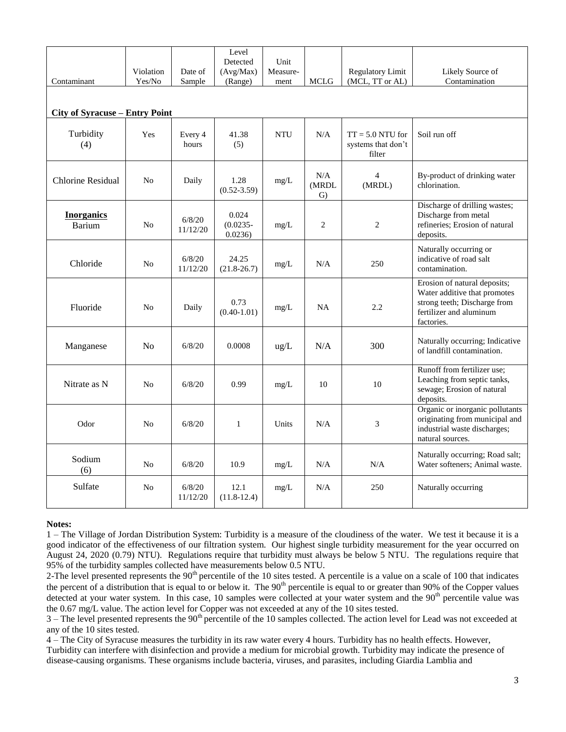|                                       |                |                    | Level                           |                  |                              |                                                    |                                                                                                                                       |  |  |  |  |  |
|---------------------------------------|----------------|--------------------|---------------------------------|------------------|------------------------------|----------------------------------------------------|---------------------------------------------------------------------------------------------------------------------------------------|--|--|--|--|--|
|                                       | Violation      | Date of            | Detected<br>(Avg/Max)           | Unit<br>Measure- |                              | <b>Regulatory Limit</b>                            | Likely Source of                                                                                                                      |  |  |  |  |  |
| Contaminant                           | Yes/No         | Sample             | (Range)                         | ment             | <b>MCLG</b>                  | (MCL, TT or AL)                                    | Contamination                                                                                                                         |  |  |  |  |  |
|                                       |                |                    |                                 |                  |                              |                                                    |                                                                                                                                       |  |  |  |  |  |
|                                       |                |                    |                                 |                  |                              |                                                    |                                                                                                                                       |  |  |  |  |  |
| <b>City of Syracuse – Entry Point</b> |                |                    |                                 |                  |                              |                                                    |                                                                                                                                       |  |  |  |  |  |
| Turbidity<br>(4)                      | Yes            | Every 4<br>hours   | 41.38<br>(5)                    | <b>NTU</b>       | N/A                          | $TT = 5.0 NTU$ for<br>systems that don't<br>filter | Soil run off                                                                                                                          |  |  |  |  |  |
| <b>Chlorine Residual</b>              | N <sub>0</sub> | Daily              | 1.28<br>$(0.52 - 3.59)$         | mg/L             | N/A<br>(MRDL<br>$\mathbf{G}$ | 4<br>(MRDL)                                        | By-product of drinking water<br>chlorination.                                                                                         |  |  |  |  |  |
| <b>Inorganics</b><br><b>Barium</b>    | No             | 6/8/20<br>11/12/20 | 0.024<br>$(0.0235 -$<br>0.0236) | mg/L             | $\mathbf{2}$                 | $\mathbf{2}$                                       | Discharge of drilling wastes;<br>Discharge from metal<br>refineries; Erosion of natural<br>deposits.                                  |  |  |  |  |  |
| Chloride                              | N <sub>o</sub> | 6/8/20<br>11/12/20 | 24.25<br>$(21.8 - 26.7)$        | mg/L             | N/A                          | 250                                                | Naturally occurring or<br>indicative of road salt<br>contamination.                                                                   |  |  |  |  |  |
| Fluoride                              | No             | Daily              | 0.73<br>$(0.40 - 1.01)$         | mg/L             | <b>NA</b>                    | 2.2                                                | Erosion of natural deposits;<br>Water additive that promotes<br>strong teeth; Discharge from<br>fertilizer and aluminum<br>factories. |  |  |  |  |  |
| Manganese                             | N <sub>0</sub> | 6/8/20             | 0.0008                          | ug/L             | N/A                          | 300                                                | Naturally occurring; Indicative<br>of landfill contamination.                                                                         |  |  |  |  |  |
| Nitrate as N                          | No             | 6/8/20             | 0.99                            | mg/L             | 10                           | 10                                                 | Runoff from fertilizer use;<br>Leaching from septic tanks,<br>sewage; Erosion of natural<br>deposits.                                 |  |  |  |  |  |
| Odor                                  | N <sub>0</sub> | 6/8/20             | $\mathbf{1}$                    | Units            | N/A                          | 3                                                  | Organic or inorganic pollutants<br>originating from municipal and<br>industrial waste discharges;<br>natural sources.                 |  |  |  |  |  |
| Sodium<br>(6)                         | No             | 6/8/20             | 10.9                            | mg/L             | N/A                          | N/A                                                | Naturally occurring; Road salt;<br>Water softeners; Animal waste.                                                                     |  |  |  |  |  |
| Sulfate                               | No             | 6/8/20<br>11/12/20 | 12.1<br>$(11.8-12.4)$           | mg/L             | N/A                          | 250                                                | Naturally occurring                                                                                                                   |  |  |  |  |  |

#### **Notes:**

1 – The Village of Jordan Distribution System: Turbidity is a measure of the cloudiness of the water. We test it because it is a good indicator of the effectiveness of our filtration system. Our highest single turbidity measurement for the year occurred on August 24, 2020 (0.79) NTU). Regulations require that turbidity must always be below 5 NTU. The regulations require that 95% of the turbidity samples collected have measurements below 0.5 NTU.

2-The level presented represents the 90<sup>th</sup> percentile of the 10 sites tested. A percentile is a value on a scale of 100 that indicates the percent of a distribution that is equal to or below it. The  $90<sup>th</sup>$  percentile is equal to or greater than  $90%$  of the Copper values detected at your water system. In this case, 10 samples were collected at your water system and the  $90<sup>th</sup>$  percentile value was the 0.67 mg/L value. The action level for Copper was not exceeded at any of the 10 sites tested.

 $3$  – The level presented represents the  $90<sup>th</sup>$  percentile of the 10 samples collected. The action level for Lead was not exceeded at any of the 10 sites tested.

4 – The City of Syracuse measures the turbidity in its raw water every 4 hours. Turbidity has no health effects. However, Turbidity can interfere with disinfection and provide a medium for microbial growth. Turbidity may indicate the presence of disease-causing organisms. These organisms include bacteria, viruses, and parasites, including Giardia Lamblia and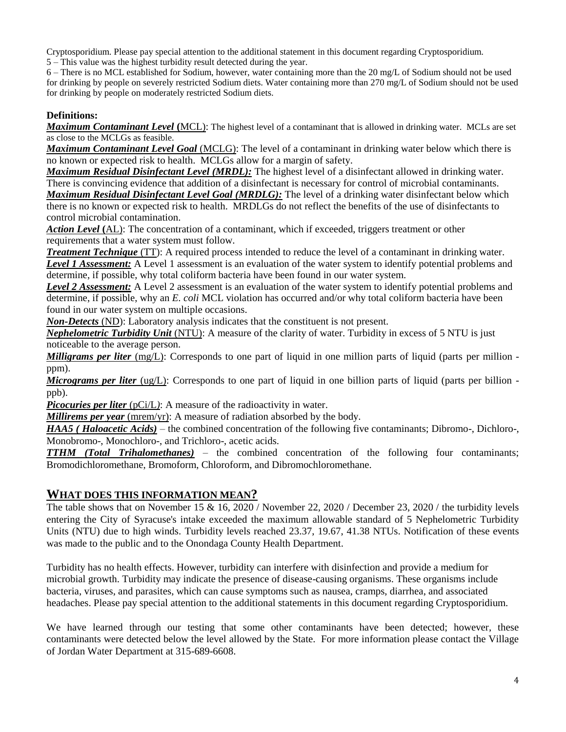Cryptosporidium. Please pay special attention to the additional statement in this document regarding Cryptosporidium.

5 – This value was the highest turbidity result detected during the year.

6 – There is no MCL established for Sodium, however, water containing more than the 20 mg/L of Sodium should not be used for drinking by people on severely restricted Sodium diets. Water containing more than 270 mg/L of Sodium should not be used for drinking by people on moderately restricted Sodium diets.

#### **Definitions:**

*Maximum Contaminant Level* **(**MCL): The highest level of a contaminant that is allowed in drinking water. MCLs are set as close to the MCLGs as feasible.

*Maximum Contaminant Level Goal* (MCLG): The level of a contaminant in drinking water below which there is no known or expected risk to health. MCLGs allow for a margin of safety.

*Maximum Residual Disinfectant Level (MRDL):* The highest level of a disinfectant allowed in drinking water. There is convincing evidence that addition of a disinfectant is necessary for control of microbial contaminants.

*Maximum Residual Disinfectant Level Goal (MRDLG):* The level of a drinking water disinfectant below which there is no known or expected risk to health. MRDLGs do not reflect the benefits of the use of disinfectants to control microbial contamination.

*Action Level* **(**AL): The concentration of a contaminant, which if exceeded, triggers treatment or other requirements that a water system must follow.

*Treatment Technique* (TT): A required process intended to reduce the level of a contaminant in drinking water. Level 1 Assessment: A Level 1 assessment is an evaluation of the water system to identify potential problems and determine, if possible, why total coliform bacteria have been found in our water system.

*Level 2 Assessment:* A Level 2 assessment is an evaluation of the water system to identify potential problems and determine, if possible, why an *E. coli* MCL violation has occurred and/or why total coliform bacteria have been found in our water system on multiple occasions.

*Non-Detects* (ND): Laboratory analysis indicates that the constituent is not present.

*Nephelometric Turbidity Unit* (NTU): A measure of the clarity of water. Turbidity in excess of 5 NTU is just noticeable to the average person.

*Milligrams per liter* (mg/L): Corresponds to one part of liquid in one million parts of liquid (parts per million ppm).

*Micrograms per liter* (ug/L): Corresponds to one part of liquid in one billion parts of liquid (parts per billion ppb).

*Picocuries per liter* (pCi/L): A measure of the radioactivity in water.

*Millirems per year* (mrem/yr): A measure of radiation absorbed by the body.

*HAA5 ( Haloacetic Acids)* – the combined concentration of the following five contaminants; Dibromo-, Dichloro-, Monobromo-, Monochloro-, and Trichloro-, acetic acids.

*TTHM (Total Trihalomethanes)* – the combined concentration of the following four contaminants; Bromodichloromethane, Bromoform, Chloroform, and Dibromochloromethane.

#### **WHAT DOES THIS INFORMATION MEAN?**

The table shows that on November 15 & 16, 2020 / November 22, 2020 / December 23, 2020 / the turbidity levels entering the City of Syracuse's intake exceeded the maximum allowable standard of 5 Nephelometric Turbidity Units (NTU) due to high winds. Turbidity levels reached 23.37, 19.67, 41.38 NTUs. Notification of these events was made to the public and to the Onondaga County Health Department.

Turbidity has no health effects. However, turbidity can interfere with disinfection and provide a medium for microbial growth. Turbidity may indicate the presence of disease-causing organisms. These organisms include bacteria, viruses, and parasites, which can cause symptoms such as nausea, cramps, diarrhea, and associated headaches. Please pay special attention to the additional statements in this document regarding Cryptosporidium.

We have learned through our testing that some other contaminants have been detected; however, these contaminants were detected below the level allowed by the State. For more information please contact the Village of Jordan Water Department at 315-689-6608.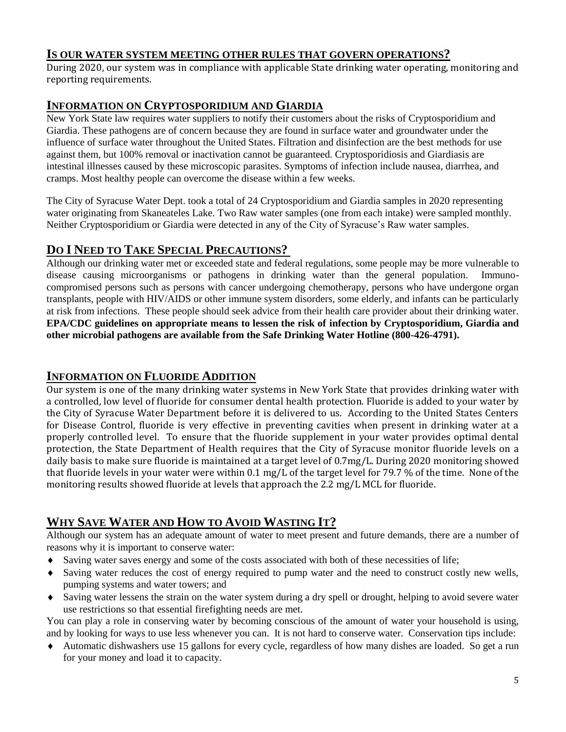#### **IS OUR WATER SYSTEM MEETING OTHER RULES THAT GOVERN OPERATIONS?**

During 2020, our system was in compliance with applicable State drinking water operating, monitoring and reporting requirements.

# **INFORMATION ON CRYPTOSPORIDIUM AND GIARDIA**

New York State law requires water suppliers to notify their customers about the risks of Cryptosporidium and Giardia. These pathogens are of concern because they are found in surface water and groundwater under the influence of surface water throughout the United States. Filtration and disinfection are the best methods for use against them, but 100% removal or inactivation cannot be guaranteed. Cryptosporidiosis and Giardiasis are intestinal illnesses caused by these microscopic parasites. Symptoms of infection include nausea, diarrhea, and cramps. Most healthy people can overcome the disease within a few weeks.

The City of Syracuse Water Dept. took a total of 24 Cryptosporidium and Giardia samples in 2020 representing water originating from Skaneateles Lake. Two Raw water samples (one from each intake) were sampled monthly. Neither Cryptosporidium or Giardia were detected in any of the City of Syracuse's Raw water samples.

# **DO I NEED TO TAKE SPECIAL PRECAUTIONS?**

Although our drinking water met or exceeded state and federal regulations, some people may be more vulnerable to disease causing microorganisms or pathogens in drinking water than the general population. Immunocompromised persons such as persons with cancer undergoing chemotherapy, persons who have undergone organ transplants, people with HIV/AIDS or other immune system disorders, some elderly, and infants can be particularly at risk from infections. These people should seek advice from their health care provider about their drinking water. **EPA/CDC guidelines on appropriate means to lessen the risk of infection by Cryptosporidium, Giardia and other microbial pathogens are available from the Safe Drinking Water Hotline (800-426-4791).**

# **INFORMATION ON FLUORIDE ADDITION**

Our system is one of the many drinking water systems in New York State that provides drinking water with a controlled, low level of fluoride for consumer dental health protection. Fluoride is added to your water by the City of Syracuse Water Department before it is delivered to us. According to the United States Centers for Disease Control, fluoride is very effective in preventing cavities when present in drinking water at a properly controlled level. To ensure that the fluoride supplement in your water provides optimal dental protection, the State Department of Health requires that the City of Syracuse monitor fluoride levels on a daily basis to make sure fluoride is maintained at a target level of 0.7mg/L. During 2020 monitoring showed that fluoride levels in your water were within 0.1 mg/L of the target level for 79.7 % of the time. None of the monitoring results showed fluoride at levels that approach the 2.2 mg/L MCL for fluoride.

# **WHY SAVE WATER AND HOW TO AVOID WASTING IT?**

Although our system has an adequate amount of water to meet present and future demands, there are a number of reasons why it is important to conserve water:

- Saving water saves energy and some of the costs associated with both of these necessities of life;
- Saving water reduces the cost of energy required to pump water and the need to construct costly new wells, pumping systems and water towers; and
- Saving water lessens the strain on the water system during a dry spell or drought, helping to avoid severe water use restrictions so that essential firefighting needs are met.

You can play a role in conserving water by becoming conscious of the amount of water your household is using, and by looking for ways to use less whenever you can. It is not hard to conserve water. Conservation tips include:

 Automatic dishwashers use 15 gallons for every cycle, regardless of how many dishes are loaded. So get a run for your money and load it to capacity.